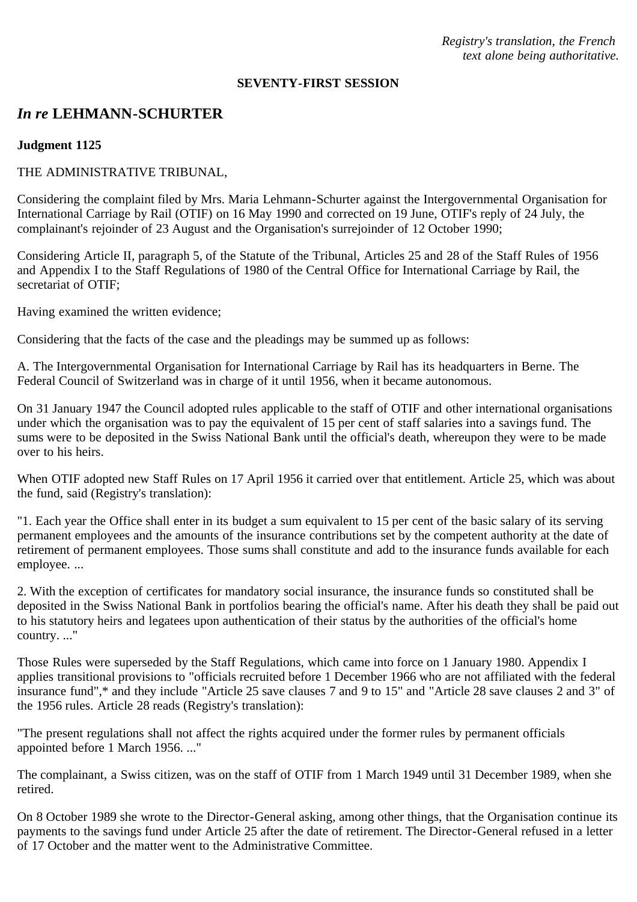*Registry's translation, the French text alone being authoritative.*

#### **SEVENTY-FIRST SESSION**

# *In re* **LEHMANN-SCHURTER**

### **Judgment 1125**

### THE ADMINISTRATIVE TRIBUNAL,

Considering the complaint filed by Mrs. Maria Lehmann-Schurter against the Intergovernmental Organisation for International Carriage by Rail (OTIF) on 16 May 1990 and corrected on 19 June, OTIF's reply of 24 July, the complainant's rejoinder of 23 August and the Organisation's surrejoinder of 12 October 1990;

Considering Article II, paragraph 5, of the Statute of the Tribunal, Articles 25 and 28 of the Staff Rules of 1956 and Appendix I to the Staff Regulations of 1980 of the Central Office for International Carriage by Rail, the secretariat of OTIF;

Having examined the written evidence;

Considering that the facts of the case and the pleadings may be summed up as follows:

A. The Intergovernmental Organisation for International Carriage by Rail has its headquarters in Berne. The Federal Council of Switzerland was in charge of it until 1956, when it became autonomous.

On 31 January 1947 the Council adopted rules applicable to the staff of OTIF and other international organisations under which the organisation was to pay the equivalent of 15 per cent of staff salaries into a savings fund. The sums were to be deposited in the Swiss National Bank until the official's death, whereupon they were to be made over to his heirs.

When OTIF adopted new Staff Rules on 17 April 1956 it carried over that entitlement. Article 25, which was about the fund, said (Registry's translation):

"1. Each year the Office shall enter in its budget a sum equivalent to 15 per cent of the basic salary of its serving permanent employees and the amounts of the insurance contributions set by the competent authority at the date of retirement of permanent employees. Those sums shall constitute and add to the insurance funds available for each employee. ...

2. With the exception of certificates for mandatory social insurance, the insurance funds so constituted shall be deposited in the Swiss National Bank in portfolios bearing the official's name. After his death they shall be paid out to his statutory heirs and legatees upon authentication of their status by the authorities of the official's home country. ..."

Those Rules were superseded by the Staff Regulations, which came into force on 1 January 1980. Appendix I applies transitional provisions to "officials recruited before 1 December 1966 who are not affiliated with the federal insurance fund",\* and they include "Article 25 save clauses 7 and 9 to 15" and "Article 28 save clauses 2 and 3" of the 1956 rules. Article 28 reads (Registry's translation):

"The present regulations shall not affect the rights acquired under the former rules by permanent officials appointed before 1 March 1956. ..."

The complainant, a Swiss citizen, was on the staff of OTIF from 1 March 1949 until 31 December 1989, when she retired.

On 8 October 1989 she wrote to the Director-General asking, among other things, that the Organisation continue its payments to the savings fund under Article 25 after the date of retirement. The Director-General refused in a letter of 17 October and the matter went to the Administrative Committee.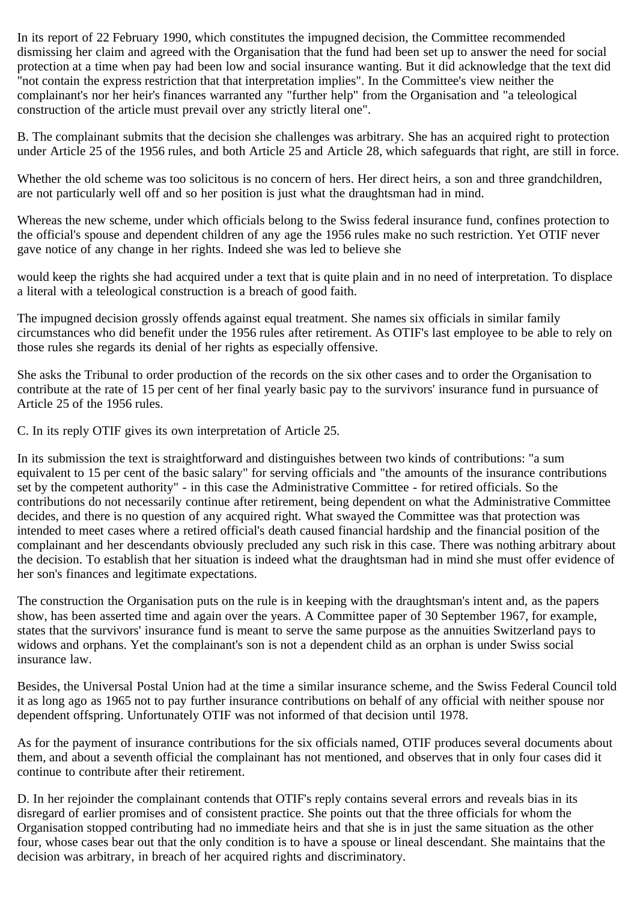In its report of 22 February 1990, which constitutes the impugned decision, the Committee recommended dismissing her claim and agreed with the Organisation that the fund had been set up to answer the need for social protection at a time when pay had been low and social insurance wanting. But it did acknowledge that the text did "not contain the express restriction that that interpretation implies". In the Committee's view neither the complainant's nor her heir's finances warranted any "further help" from the Organisation and "a teleological construction of the article must prevail over any strictly literal one".

B. The complainant submits that the decision she challenges was arbitrary. She has an acquired right to protection under Article 25 of the 1956 rules, and both Article 25 and Article 28, which safeguards that right, are still in force.

Whether the old scheme was too solicitous is no concern of hers. Her direct heirs, a son and three grandchildren, are not particularly well off and so her position is just what the draughtsman had in mind.

Whereas the new scheme, under which officials belong to the Swiss federal insurance fund, confines protection to the official's spouse and dependent children of any age the 1956 rules make no such restriction. Yet OTIF never gave notice of any change in her rights. Indeed she was led to believe she

would keep the rights she had acquired under a text that is quite plain and in no need of interpretation. To displace a literal with a teleological construction is a breach of good faith.

The impugned decision grossly offends against equal treatment. She names six officials in similar family circumstances who did benefit under the 1956 rules after retirement. As OTIF's last employee to be able to rely on those rules she regards its denial of her rights as especially offensive.

She asks the Tribunal to order production of the records on the six other cases and to order the Organisation to contribute at the rate of 15 per cent of her final yearly basic pay to the survivors' insurance fund in pursuance of Article 25 of the 1956 rules.

C. In its reply OTIF gives its own interpretation of Article 25.

In its submission the text is straightforward and distinguishes between two kinds of contributions: "a sum equivalent to 15 per cent of the basic salary" for serving officials and "the amounts of the insurance contributions set by the competent authority" - in this case the Administrative Committee - for retired officials. So the contributions do not necessarily continue after retirement, being dependent on what the Administrative Committee decides, and there is no question of any acquired right. What swayed the Committee was that protection was intended to meet cases where a retired official's death caused financial hardship and the financial position of the complainant and her descendants obviously precluded any such risk in this case. There was nothing arbitrary about the decision. To establish that her situation is indeed what the draughtsman had in mind she must offer evidence of her son's finances and legitimate expectations.

The construction the Organisation puts on the rule is in keeping with the draughtsman's intent and, as the papers show, has been asserted time and again over the years. A Committee paper of 30 September 1967, for example, states that the survivors' insurance fund is meant to serve the same purpose as the annuities Switzerland pays to widows and orphans. Yet the complainant's son is not a dependent child as an orphan is under Swiss social insurance law.

Besides, the Universal Postal Union had at the time a similar insurance scheme, and the Swiss Federal Council told it as long ago as 1965 not to pay further insurance contributions on behalf of any official with neither spouse nor dependent offspring. Unfortunately OTIF was not informed of that decision until 1978.

As for the payment of insurance contributions for the six officials named, OTIF produces several documents about them, and about a seventh official the complainant has not mentioned, and observes that in only four cases did it continue to contribute after their retirement.

D. In her rejoinder the complainant contends that OTIF's reply contains several errors and reveals bias in its disregard of earlier promises and of consistent practice. She points out that the three officials for whom the Organisation stopped contributing had no immediate heirs and that she is in just the same situation as the other four, whose cases bear out that the only condition is to have a spouse or lineal descendant. She maintains that the decision was arbitrary, in breach of her acquired rights and discriminatory.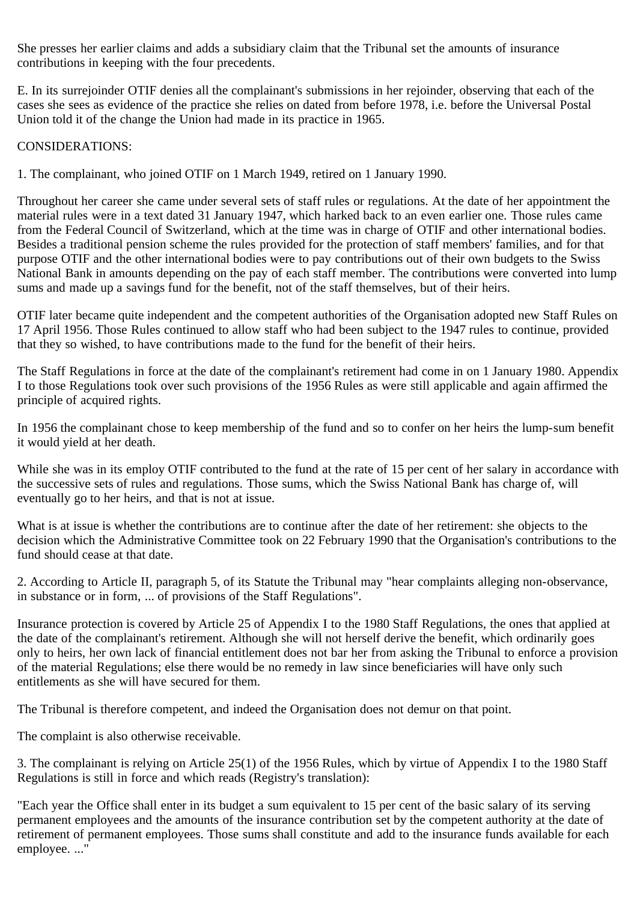She presses her earlier claims and adds a subsidiary claim that the Tribunal set the amounts of insurance contributions in keeping with the four precedents.

E. In its surrejoinder OTIF denies all the complainant's submissions in her rejoinder, observing that each of the cases she sees as evidence of the practice she relies on dated from before 1978, i.e. before the Universal Postal Union told it of the change the Union had made in its practice in 1965.

## CONSIDERATIONS:

1. The complainant, who joined OTIF on 1 March 1949, retired on 1 January 1990.

Throughout her career she came under several sets of staff rules or regulations. At the date of her appointment the material rules were in a text dated 31 January 1947, which harked back to an even earlier one. Those rules came from the Federal Council of Switzerland, which at the time was in charge of OTIF and other international bodies. Besides a traditional pension scheme the rules provided for the protection of staff members' families, and for that purpose OTIF and the other international bodies were to pay contributions out of their own budgets to the Swiss National Bank in amounts depending on the pay of each staff member. The contributions were converted into lump sums and made up a savings fund for the benefit, not of the staff themselves, but of their heirs.

OTIF later became quite independent and the competent authorities of the Organisation adopted new Staff Rules on 17 April 1956. Those Rules continued to allow staff who had been subject to the 1947 rules to continue, provided that they so wished, to have contributions made to the fund for the benefit of their heirs.

The Staff Regulations in force at the date of the complainant's retirement had come in on 1 January 1980. Appendix I to those Regulations took over such provisions of the 1956 Rules as were still applicable and again affirmed the principle of acquired rights.

In 1956 the complainant chose to keep membership of the fund and so to confer on her heirs the lump-sum benefit it would yield at her death.

While she was in its employ OTIF contributed to the fund at the rate of 15 per cent of her salary in accordance with the successive sets of rules and regulations. Those sums, which the Swiss National Bank has charge of, will eventually go to her heirs, and that is not at issue.

What is at issue is whether the contributions are to continue after the date of her retirement: she objects to the decision which the Administrative Committee took on 22 February 1990 that the Organisation's contributions to the fund should cease at that date.

2. According to Article II, paragraph 5, of its Statute the Tribunal may "hear complaints alleging non-observance, in substance or in form, ... of provisions of the Staff Regulations".

Insurance protection is covered by Article 25 of Appendix I to the 1980 Staff Regulations, the ones that applied at the date of the complainant's retirement. Although she will not herself derive the benefit, which ordinarily goes only to heirs, her own lack of financial entitlement does not bar her from asking the Tribunal to enforce a provision of the material Regulations; else there would be no remedy in law since beneficiaries will have only such entitlements as she will have secured for them.

The Tribunal is therefore competent, and indeed the Organisation does not demur on that point.

The complaint is also otherwise receivable.

3. The complainant is relying on Article 25(1) of the 1956 Rules, which by virtue of Appendix I to the 1980 Staff Regulations is still in force and which reads (Registry's translation):

"Each year the Office shall enter in its budget a sum equivalent to 15 per cent of the basic salary of its serving permanent employees and the amounts of the insurance contribution set by the competent authority at the date of retirement of permanent employees. Those sums shall constitute and add to the insurance funds available for each employee. ..."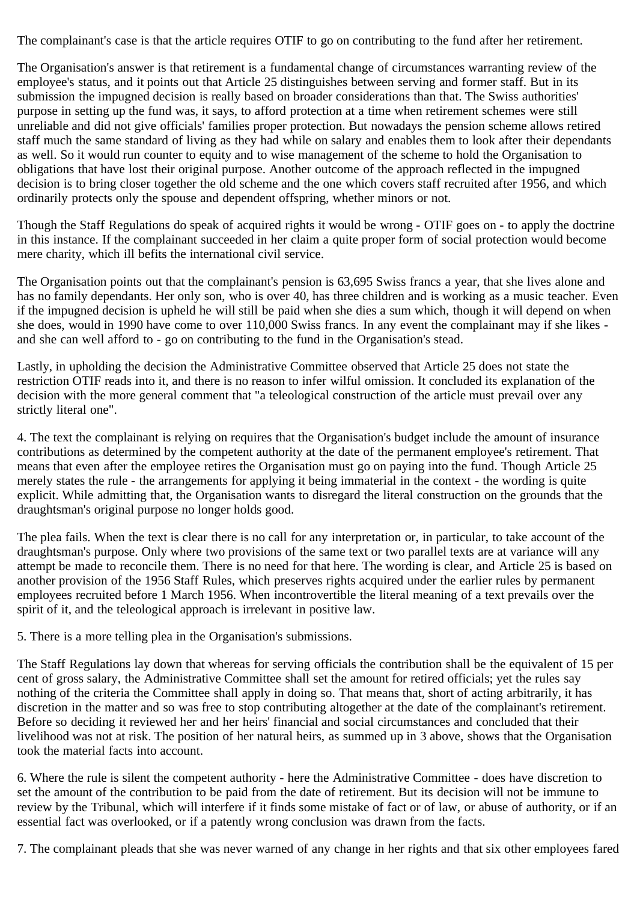The complainant's case is that the article requires OTIF to go on contributing to the fund after her retirement.

The Organisation's answer is that retirement is a fundamental change of circumstances warranting review of the employee's status, and it points out that Article 25 distinguishes between serving and former staff. But in its submission the impugned decision is really based on broader considerations than that. The Swiss authorities' purpose in setting up the fund was, it says, to afford protection at a time when retirement schemes were still unreliable and did not give officials' families proper protection. But nowadays the pension scheme allows retired staff much the same standard of living as they had while on salary and enables them to look after their dependants as well. So it would run counter to equity and to wise management of the scheme to hold the Organisation to obligations that have lost their original purpose. Another outcome of the approach reflected in the impugned decision is to bring closer together the old scheme and the one which covers staff recruited after 1956, and which ordinarily protects only the spouse and dependent offspring, whether minors or not.

Though the Staff Regulations do speak of acquired rights it would be wrong - OTIF goes on - to apply the doctrine in this instance. If the complainant succeeded in her claim a quite proper form of social protection would become mere charity, which ill befits the international civil service.

The Organisation points out that the complainant's pension is 63,695 Swiss francs a year, that she lives alone and has no family dependants. Her only son, who is over 40, has three children and is working as a music teacher. Even if the impugned decision is upheld he will still be paid when she dies a sum which, though it will depend on when she does, would in 1990 have come to over 110,000 Swiss francs. In any event the complainant may if she likes and she can well afford to - go on contributing to the fund in the Organisation's stead.

Lastly, in upholding the decision the Administrative Committee observed that Article 25 does not state the restriction OTIF reads into it, and there is no reason to infer wilful omission. It concluded its explanation of the decision with the more general comment that "a teleological construction of the article must prevail over any strictly literal one".

4. The text the complainant is relying on requires that the Organisation's budget include the amount of insurance contributions as determined by the competent authority at the date of the permanent employee's retirement. That means that even after the employee retires the Organisation must go on paying into the fund. Though Article 25 merely states the rule - the arrangements for applying it being immaterial in the context - the wording is quite explicit. While admitting that, the Organisation wants to disregard the literal construction on the grounds that the draughtsman's original purpose no longer holds good.

The plea fails. When the text is clear there is no call for any interpretation or, in particular, to take account of the draughtsman's purpose. Only where two provisions of the same text or two parallel texts are at variance will any attempt be made to reconcile them. There is no need for that here. The wording is clear, and Article 25 is based on another provision of the 1956 Staff Rules, which preserves rights acquired under the earlier rules by permanent employees recruited before 1 March 1956. When incontrovertible the literal meaning of a text prevails over the spirit of it, and the teleological approach is irrelevant in positive law.

5. There is a more telling plea in the Organisation's submissions.

The Staff Regulations lay down that whereas for serving officials the contribution shall be the equivalent of 15 per cent of gross salary, the Administrative Committee shall set the amount for retired officials; yet the rules say nothing of the criteria the Committee shall apply in doing so. That means that, short of acting arbitrarily, it has discretion in the matter and so was free to stop contributing altogether at the date of the complainant's retirement. Before so deciding it reviewed her and her heirs' financial and social circumstances and concluded that their livelihood was not at risk. The position of her natural heirs, as summed up in 3 above, shows that the Organisation took the material facts into account.

6. Where the rule is silent the competent authority - here the Administrative Committee - does have discretion to set the amount of the contribution to be paid from the date of retirement. But its decision will not be immune to review by the Tribunal, which will interfere if it finds some mistake of fact or of law, or abuse of authority, or if an essential fact was overlooked, or if a patently wrong conclusion was drawn from the facts.

7. The complainant pleads that she was never warned of any change in her rights and that six other employees fared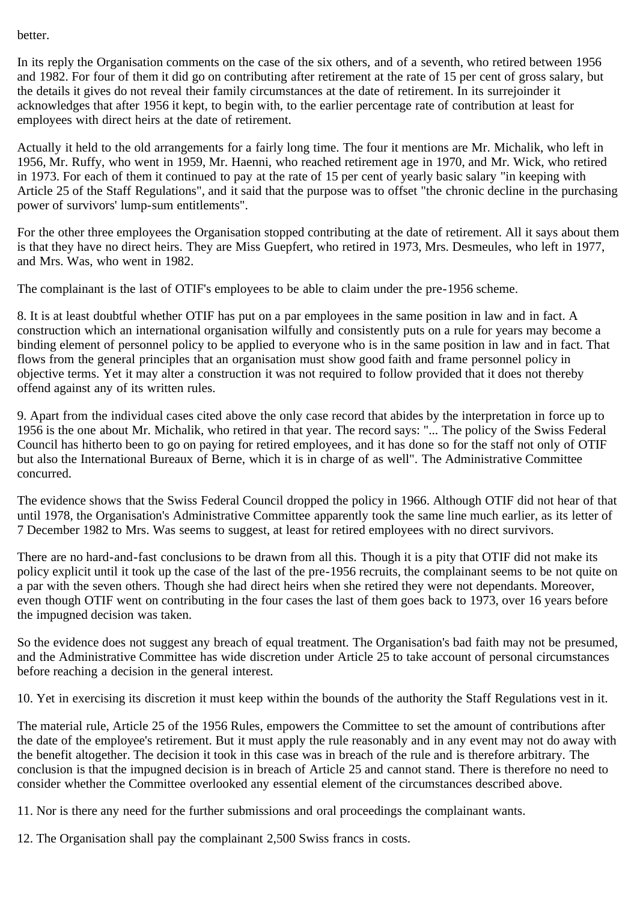#### better.

In its reply the Organisation comments on the case of the six others, and of a seventh, who retired between 1956 and 1982. For four of them it did go on contributing after retirement at the rate of 15 per cent of gross salary, but the details it gives do not reveal their family circumstances at the date of retirement. In its surrejoinder it acknowledges that after 1956 it kept, to begin with, to the earlier percentage rate of contribution at least for employees with direct heirs at the date of retirement.

Actually it held to the old arrangements for a fairly long time. The four it mentions are Mr. Michalik, who left in 1956, Mr. Ruffy, who went in 1959, Mr. Haenni, who reached retirement age in 1970, and Mr. Wick, who retired in 1973. For each of them it continued to pay at the rate of 15 per cent of yearly basic salary "in keeping with Article 25 of the Staff Regulations", and it said that the purpose was to offset "the chronic decline in the purchasing power of survivors' lump-sum entitlements".

For the other three employees the Organisation stopped contributing at the date of retirement. All it says about them is that they have no direct heirs. They are Miss Guepfert, who retired in 1973, Mrs. Desmeules, who left in 1977, and Mrs. Was, who went in 1982.

The complainant is the last of OTIF's employees to be able to claim under the pre-1956 scheme.

8. It is at least doubtful whether OTIF has put on a par employees in the same position in law and in fact. A construction which an international organisation wilfully and consistently puts on a rule for years may become a binding element of personnel policy to be applied to everyone who is in the same position in law and in fact. That flows from the general principles that an organisation must show good faith and frame personnel policy in objective terms. Yet it may alter a construction it was not required to follow provided that it does not thereby offend against any of its written rules.

9. Apart from the individual cases cited above the only case record that abides by the interpretation in force up to 1956 is the one about Mr. Michalik, who retired in that year. The record says: "... The policy of the Swiss Federal Council has hitherto been to go on paying for retired employees, and it has done so for the staff not only of OTIF but also the International Bureaux of Berne, which it is in charge of as well". The Administrative Committee concurred.

The evidence shows that the Swiss Federal Council dropped the policy in 1966. Although OTIF did not hear of that until 1978, the Organisation's Administrative Committee apparently took the same line much earlier, as its letter of 7 December 1982 to Mrs. Was seems to suggest, at least for retired employees with no direct survivors.

There are no hard-and-fast conclusions to be drawn from all this. Though it is a pity that OTIF did not make its policy explicit until it took up the case of the last of the pre-1956 recruits, the complainant seems to be not quite on a par with the seven others. Though she had direct heirs when she retired they were not dependants. Moreover, even though OTIF went on contributing in the four cases the last of them goes back to 1973, over 16 years before the impugned decision was taken.

So the evidence does not suggest any breach of equal treatment. The Organisation's bad faith may not be presumed, and the Administrative Committee has wide discretion under Article 25 to take account of personal circumstances before reaching a decision in the general interest.

10. Yet in exercising its discretion it must keep within the bounds of the authority the Staff Regulations vest in it.

The material rule, Article 25 of the 1956 Rules, empowers the Committee to set the amount of contributions after the date of the employee's retirement. But it must apply the rule reasonably and in any event may not do away with the benefit altogether. The decision it took in this case was in breach of the rule and is therefore arbitrary. The conclusion is that the impugned decision is in breach of Article 25 and cannot stand. There is therefore no need to consider whether the Committee overlooked any essential element of the circumstances described above.

11. Nor is there any need for the further submissions and oral proceedings the complainant wants.

12. The Organisation shall pay the complainant 2,500 Swiss francs in costs.